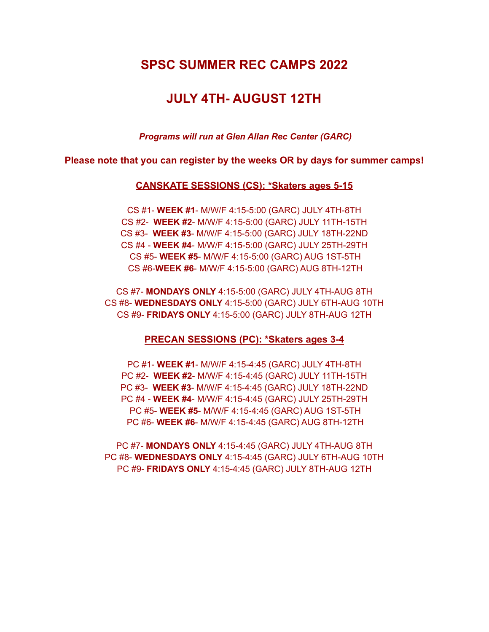## **SPSC SUMMER REC CAMPS 2022**

# **JULY 4TH- AUGUST 12TH**

*Programs will run at Glen Allan Rec Center (GARC)*

**Please note that you can register by the weeks OR by days for summer camps!**

### **CANSKATE SESSIONS (CS): \*Skaters ages 5-15**

CS #1- **WEEK #1**- M/W/F 4:15-5:00 (GARC) JULY 4TH-8TH CS #2- **WEEK #2**- M/W/F 4:15-5:00 (GARC) JULY 11TH-15TH CS #3- **WEEK #3**- M/W/F 4:15-5:00 (GARC) JULY 18TH-22ND CS #4 - **WEEK #4**- M/W/F 4:15-5:00 (GARC) JULY 25TH-29TH CS #5- **WEEK #5**- M/W/F 4:15-5:00 (GARC) AUG 1ST-5TH CS #6-**WEEK #6**- M/W/F 4:15-5:00 (GARC) AUG 8TH-12TH

CS #7- **MONDAYS ONLY** 4:15-5:00 (GARC) JULY 4TH-AUG 8TH CS #8- **WEDNESDAYS ONLY** 4:15-5:00 (GARC) JULY 6TH-AUG 10TH CS #9- **FRIDAYS ONLY** 4:15-5:00 (GARC) JULY 8TH-AUG 12TH

#### **PRECAN SESSIONS (PC): \*Skaters ages 3-4**

PC #1- **WEEK #1**- M/W/F 4:15-4:45 (GARC) JULY 4TH-8TH PC #2- **WEEK #2**- M/W/F 4:15-4:45 (GARC) JULY 11TH-15TH PC #3- **WEEK #3**- M/W/F 4:15-4:45 (GARC) JULY 18TH-22ND PC #4 - **WEEK #4**- M/W/F 4:15-4:45 (GARC) JULY 25TH-29TH PC #5- **WEEK #5**- M/W/F 4:15-4:45 (GARC) AUG 1ST-5TH PC #6- **WEEK #6**- M/W/F 4:15-4:45 (GARC) AUG 8TH-12TH

PC #7- **MONDAYS ONLY** 4:15-4:45 (GARC) JULY 4TH-AUG 8TH PC #8- **WEDNESDAYS ONLY** 4:15-4:45 (GARC) JULY 6TH-AUG 10TH PC #9- **FRIDAYS ONLY** 4:15-4:45 (GARC) JULY 8TH-AUG 12TH